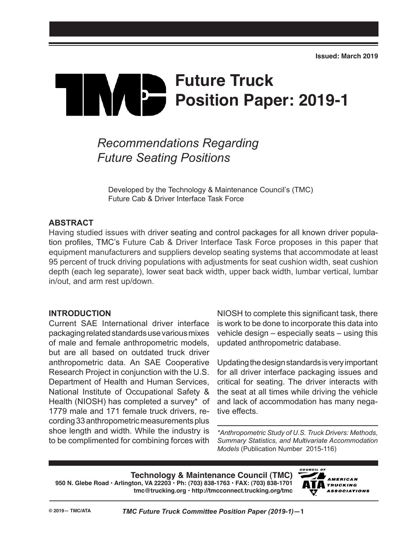# **Future Truck** IVA P **Position Paper: 2019-1**

## *Recommendations Regarding Future Seating Positions*

Developed by the Technology & Maintenance Council's (TMC) Future Cab & Driver Interface Task Force

#### **ABSTRACT**

Having studied issues with driver seating and control packages for all known driver population profiles, TMC's Future Cab & Driver Interface Task Force proposes in this paper that equipment manufacturers and suppliers develop seating systems that accommodate at least 95 percent of truck driving populations with adjustments for seat cushion width, seat cushion depth (each leg separate), lower seat back width, upper back width, lumbar vertical, lumbar in/out, and arm rest up/down.

#### **INTRODUCTION**

Current SAE International driver interface packaging related standards use various mixes of male and female anthropometric models, but are all based on outdated truck driver anthropometric data. An SAE Cooperative Research Project in conjunction with the U.S. Department of Health and Human Services, National Institute of Occupational Safety & Health (NIOSH) has completed a survey\* of 1779 male and 171 female truck drivers, recording 33 anthropometric measurements plus shoe length and width. While the industry is to be complimented for combining forces with

NIOSH to complete this significant task, there is work to be done to incorporate this data into vehicle design – especially seats – using this updated anthropometric database.

Updating the design standards is very important for all driver interface packaging issues and critical for seating. The driver interacts with the seat at all times while driving the vehicle and lack of accommodation has many negative effects.

*\*Anthropometric Study of U.S. Truck Drivers: Methods, Summary Statistics, and Multivariate Accommodation Models* (Publication Number 2015-116)

**Technology & Maintenance Council (TMC) 950 N. Glebe Road • Arlington, VA 22203 • Ph: (703) 838-1763 • FAX: (703) 838-1701 tmc@trucking.org • http://tmcconnect.trucking.org/tmc**

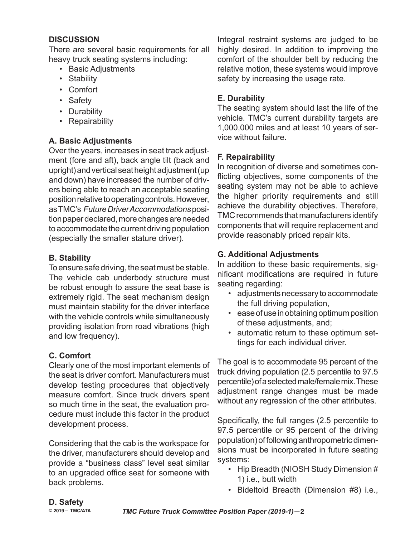#### **DISCUSSION**

There are several basic requirements for all heavy truck seating systems including:

- Basic Adjustments
- Stability
- Comfort
- Safety
- Durability
- Repairability

#### **A. Basic Adjustments**

Over the years, increases in seat track adjustment (fore and aft), back angle tilt (back and upright) and vertical seat height adjustment (up and down) have increased the number of drivers being able to reach an acceptable seating position relative to operating controls. However, as TMC's *Future Driver Accommodations* position paper declared, more changes are needed to accommodate the current driving population (especially the smaller stature driver).

#### **B. Stability**

To ensure safe driving, the seat must be stable. The vehicle cab underbody structure must be robust enough to assure the seat base is extremely rigid. The seat mechanism design must maintain stability for the driver interface with the vehicle controls while simultaneously providing isolation from road vibrations (high and low frequency).

#### **C. Comfort**

Clearly one of the most important elements of the seat is driver comfort. Manufacturers must develop testing procedures that objectively measure comfort. Since truck drivers spent so much time in the seat, the evaluation procedure must include this factor in the product development process.

Considering that the cab is the workspace for the driver, manufacturers should develop and provide a "business class" level seat similar to an upgraded office seat for someone with back problems.

Integral restraint systems are judged to be highly desired. In addition to improving the comfort of the shoulder belt by reducing the relative motion, these systems would improve safety by increasing the usage rate.

#### **E. Durability**

The seating system should last the life of the vehicle. TMC's current durability targets are 1,000,000 miles and at least 10 years of service without failure.

#### **F. Repairability**

In recognition of diverse and sometimes conflicting objectives, some components of the seating system may not be able to achieve the higher priority requirements and still achieve the durability objectives. Therefore, TMC recommends that manufacturers identify components that will require replacement and provide reasonably priced repair kits.

#### **G. Additional Adjustments**

In addition to these basic requirements, significant modifications are required in future seating regarding:

- adjustments necessary to accommodate the full driving population,
- ease of use in obtaining optimum position of these adjustments, and;
- automatic return to these optimum settings for each individual driver.

The goal is to accommodate 95 percent of the truck driving population (2.5 percentile to 97.5 percentile) of a selected male/female mix. These adjustment range changes must be made without any regression of the other attributes.

Specifically, the full ranges (2.5 percentile to 97.5 percentile or 95 percent of the driving population) of following anthropometric dimensions must be incorporated in future seating systems:

- Hip Breadth (NIOSH Study Dimension # 1) i.e., butt width
- Bideltoid Breadth (Dimension #8) i.e.,

### **D. Safety**